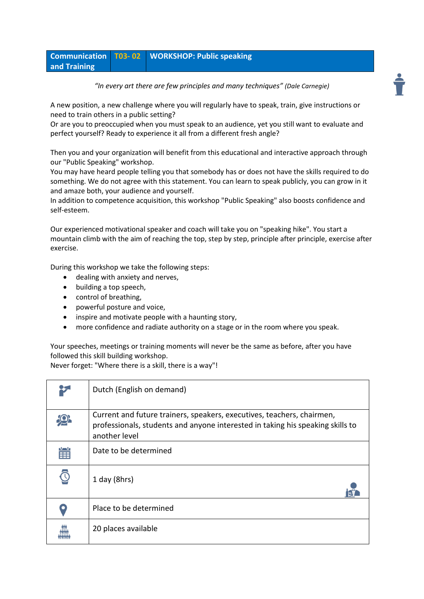|              | Communication T03-02 WORKSHOP: Public speaking |
|--------------|------------------------------------------------|
| and Training |                                                |

*"In every art there are few principles and many techniques" (Dale Carnegie)*

A new position, a new challenge where you will regularly have to speak, train, give instructions or need to train others in a public setting?

Or are you to preoccupied when you must speak to an audience, yet you still want to evaluate and perfect yourself? Ready to experience it all from a different fresh angle?

Then you and your organization will benefit from this educational and interactive approach through our "Public Speaking" workshop.

You may have heard people telling you that somebody has or does not have the skills required to do something. We do not agree with this statement. You can learn to speak publicly, you can grow in it and amaze both, your audience and yourself.

In addition to competence acquisition, this workshop "Public Speaking" also boosts confidence and self-esteem.

Our experienced motivational speaker and coach will take you on "speaking hike". You start a mountain climb with the aim of reaching the top, step by step, principle after principle, exercise after exercise.

During this workshop we take the following steps:

- dealing with anxiety and nerves,
- building a top speech,
- control of breathing,
- powerful posture and voice,
- inspire and motivate people with a haunting story,
- more confidence and radiate authority on a stage or in the room where you speak.

Your speeches, meetings or training moments will never be the same as before, after you have followed this skill building workshop.

Never forget: "Where there is a skill, there is a way"!

|   | Dutch (English on demand)                                                                                                                                                 |
|---|---------------------------------------------------------------------------------------------------------------------------------------------------------------------------|
|   | Current and future trainers, speakers, executives, teachers, chairmen,<br>professionals, students and anyone interested in taking his speaking skills to<br>another level |
| 當 | Date to be determined                                                                                                                                                     |
|   | 1 day (8hrs)                                                                                                                                                              |
|   | Place to be determined                                                                                                                                                    |
|   | 20 places available                                                                                                                                                       |